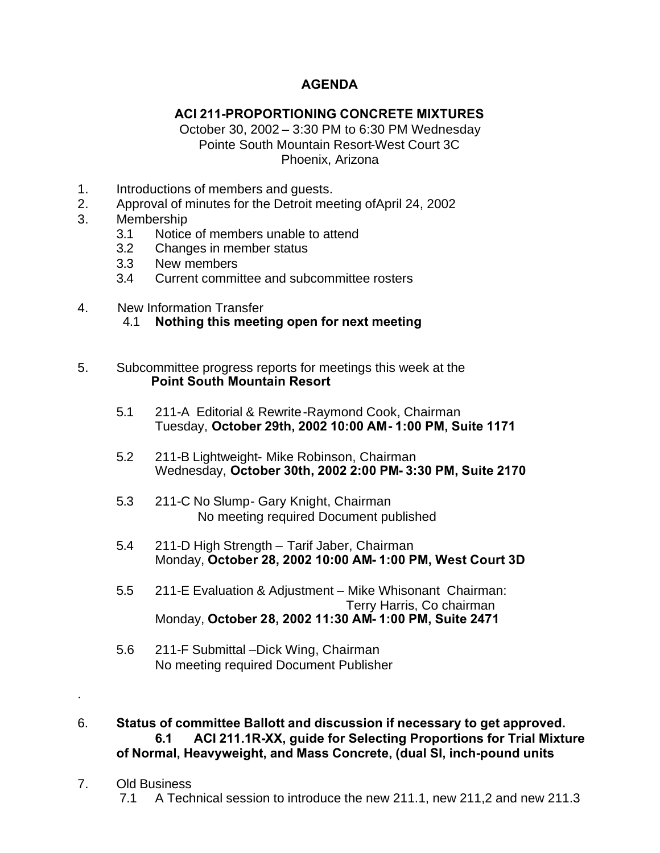## **AGENDA**

## **ACI 211-PROPORTIONING CONCRETE MIXTURES**

October 30, 2002 – 3:30 PM to 6:30 PM Wednesday Pointe South Mountain Resort-West Court 3C Phoenix, Arizona

- 1. Introductions of members and guests.
- 2. Approval of minutes for the Detroit meeting ofApril 24, 2002
- 3. Membership
	- 3.1 Notice of members unable to attend
	- 3.2 Changes in member status
	- 3.3 New members
	- 3.4 Current committee and subcommittee rosters
- 4. New Information Transfer
	- 4.1 **Nothing this meeting open for next meeting**
- 5. Subcommittee progress reports for meetings this week at the  **Point South Mountain Resort**
	- 5.1 211-A Editorial & Rewrite-Raymond Cook, Chairman Tuesday, **October 29th, 2002 10:00 AM- 1:00 PM, Suite 1171**
	- 5.2 211-B Lightweight- Mike Robinson, Chairman Wednesday, **October 30th, 2002 2:00 PM- 3:30 PM, Suite 2170**
	- 5.3 211-C No Slump- Gary Knight, Chairman No meeting required Document published
	- 5.4 211-D High Strength Tarif Jaber, Chairman Monday, **October 28, 2002 10:00 AM- 1:00 PM, West Court 3D**
	- 5.5 211-E Evaluation & Adjustment Mike Whisonant Chairman: Terry Harris, Co chairman Monday, **October 28, 2002 11:30 AM- 1:00 PM, Suite 2471**
	- 5.6 211-F Submittal –Dick Wing, Chairman No meeting required Document Publisher
- 6. **Status of committee Ballott and discussion if necessary to get approved. 6.1 ACI 211.1R-XX, guide for Selecting Proportions for Trial Mixture of Normal, Heavyweight, and Mass Concrete, (dual SI, inch-pound units**
- 7. Old Business

.

7.1 A Technical session to introduce the new 211.1, new 211,2 and new 211.3